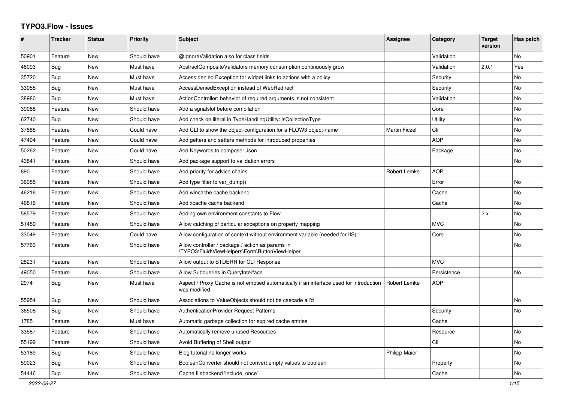## **TYPO3.Flow - Issues**

| #     | <b>Tracker</b> | <b>Status</b> | <b>Priority</b> | <b>Subject</b>                                                                                          | <b>Assignee</b>      | Category    | <b>Target</b><br>version | Has patch      |
|-------|----------------|---------------|-----------------|---------------------------------------------------------------------------------------------------------|----------------------|-------------|--------------------------|----------------|
| 50901 | Feature        | <b>New</b>    | Should have     | @IgnoreValidation also for class fields                                                                 |                      | Validation  |                          | <b>No</b>      |
| 48093 | <b>Bug</b>     | New           | Must have       | AbstractCompositeValidators memory consumption continuously grow                                        |                      | Validation  | 2.0.1                    | Yes            |
| 35720 | Bug            | New           | Must have       | Access denied Exception for widget links to actions with a policy                                       |                      | Security    |                          | No             |
| 33055 | Bug            | New           | Must have       | AccessDeniedException instead of WebRedirect                                                            |                      | Security    |                          | No             |
| 38980 | Bug            | New           | Must have       | ActionController: behavior of required arguments is not consistent                                      |                      | Validation  |                          | No             |
| 39088 | Feature        | New           | Should have     | Add a sgnalslot before compilation                                                                      |                      | Core        |                          | No             |
| 62740 | Bug            | New           | Should have     | Add check on literal in TypeHandlingUtility::isCollectionType                                           |                      | Utility     |                          | No             |
| 37885 | Feature        | <b>New</b>    | Could have      | Add CLI to show the object-configuration for a FLOW3 object-name                                        | <b>Martin Ficzel</b> | Cli         |                          | N <sub>o</sub> |
| 47404 | Feature        | <b>New</b>    | Could have      | Add getters and setters methods for introduced properties                                               |                      | <b>AOP</b>  |                          | No             |
| 50262 | Feature        | New           | Could have      | Add Keywords to composer Json                                                                           |                      | Package     |                          | No.            |
| 43841 | Feature        | New           | Should have     | Add package support to validation errors                                                                |                      |             |                          | No.            |
| 890   | Feature        | New           | Should have     | Add priority for advice chains                                                                          | Robert Lemke         | <b>AOP</b>  |                          |                |
| 36955 | Feature        | New           | Should have     | Add type filter to var dump()                                                                           |                      | Error       |                          | No             |
| 46216 | Feature        | New           | Should have     | Add wincache cache backend                                                                              |                      | Cache       |                          | No             |
| 46816 | Feature        | <b>New</b>    | Should have     | Add xcache cache backend                                                                                |                      | Cache       |                          | No             |
| 58579 | Feature        | <b>New</b>    | Should have     | Adding own environment constants to Flow                                                                |                      |             | 2.x                      | No.            |
| 51459 | Feature        | <b>New</b>    | Should have     | Allow catching of particular exceptions on property mapping                                             |                      | <b>MVC</b>  |                          | N <sub>o</sub> |
| 33049 | Feature        | <b>New</b>    | Could have      | Allow configuration of context without environment variable (needed for IIS)                            |                      | Core        |                          | No             |
| 57763 | Feature        | New           | Should have     | Allow controller / package / action as params in<br>\TYPO3\Fluid\ViewHelpers\Form\ButtonViewHelper      |                      |             |                          | No.            |
| 28231 | Feature        | <b>New</b>    | Should have     | Allow output to STDERR for CLI Response                                                                 |                      | <b>MVC</b>  |                          |                |
| 49050 | Feature        | New           | Should have     | Allow Subqueries in QueryInterface                                                                      |                      | Persistence |                          | No             |
| 2974  | Bug            | New           | Must have       | Aspect / Proxy Cache is not emptied automatically if an interface used for introduction<br>was modified | <b>Robert Lemke</b>  | <b>AOP</b>  |                          |                |
| 55954 | <b>Bug</b>     | New           | Should have     | Associations to ValueObjects should not be cascade all'd                                                |                      |             |                          | N <sub>o</sub> |
| 36508 | Bug            | New           | Should have     | <b>AuthenticationProvider Request Patterns</b>                                                          |                      | Security    |                          | No             |
| 1785  | Feature        | New           | Must have       | Automatic garbage collection for expired cache entries                                                  |                      | Cache       |                          |                |
| 33587 | Feature        | New           | Should have     | Automatically remove unused Resources                                                                   |                      | Resource    |                          | No             |
| 55199 | Feature        | New           | Should have     | Avoid Buffering of Shell output                                                                         |                      | Cli         |                          | No             |
| 53189 | Bug            | New           | Should have     | Blog tutorial no longer works                                                                           | <b>Philipp Maier</b> |             |                          | No             |
| 59023 | <b>Bug</b>     | New           | Should have     | BooleanConverter should not convert empty values to boolean                                             |                      | Property    |                          | No.            |
| 54446 | Bug            | New           | Should have     | Cache filebackend 'include once'                                                                        |                      | Cache       |                          | N <sub>o</sub> |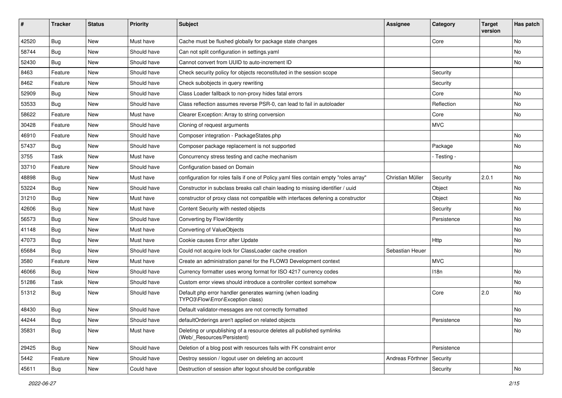| ∦     | <b>Tracker</b> | <b>Status</b> | <b>Priority</b> | <b>Subject</b>                                                                                       | <b>Assignee</b>  | Category    | <b>Target</b><br>version | Has patch |
|-------|----------------|---------------|-----------------|------------------------------------------------------------------------------------------------------|------------------|-------------|--------------------------|-----------|
| 42520 | Bug            | New           | Must have       | Cache must be flushed globally for package state changes                                             |                  | Core        |                          | No        |
| 58744 | <b>Bug</b>     | New           | Should have     | Can not split configuration in settings.yaml                                                         |                  |             |                          | No        |
| 52430 | <b>Bug</b>     | New           | Should have     | Cannot convert from UUID to auto-increment ID                                                        |                  |             |                          | No        |
| 8463  | Feature        | <b>New</b>    | Should have     | Check security policy for objects reconstituted in the session scope                                 |                  | Security    |                          |           |
| 8462  | Feature        | New           | Should have     | Check subobjects in query rewriting                                                                  |                  | Security    |                          |           |
| 52909 | Bug            | <b>New</b>    | Should have     | Class Loader fallback to non-proxy hides fatal errors                                                |                  | Core        |                          | <b>No</b> |
| 53533 | <b>Bug</b>     | New           | Should have     | Class reflection assumes reverse PSR-0, can lead to fail in autoloader                               |                  | Reflection  |                          | No        |
| 58622 | Feature        | New           | Must have       | Clearer Exception: Array to string conversion                                                        |                  | Core        |                          | No        |
| 30428 | Feature        | New           | Should have     | Cloning of request arguments                                                                         |                  | <b>MVC</b>  |                          |           |
| 46910 | Feature        | New           | Should have     | Composer integration - PackageStates.php                                                             |                  |             |                          | <b>No</b> |
| 57437 | <b>Bug</b>     | New           | Should have     | Composer package replacement is not supported                                                        |                  | Package     |                          | No        |
| 3755  | Task           | New           | Must have       | Concurrency stress testing and cache mechanism                                                       |                  | - Testing - |                          |           |
| 33710 | Feature        | New           | Should have     | Configuration based on Domain                                                                        |                  |             |                          | <b>No</b> |
| 48898 | <b>Bug</b>     | New           | Must have       | configuration for roles fails if one of Policy yaml files contain empty "roles array"                | Christian Müller | Security    | 2.0.1                    | No        |
| 53224 | Bug            | New           | Should have     | Constructor in subclass breaks call chain leading to missing identifier / uuid                       |                  | Object      |                          | No        |
| 31210 | <b>Bug</b>     | New           | Must have       | constructor of proxy class not compatible with interfaces defening a constructor                     |                  | Object      |                          | No        |
| 42606 | Bug            | New           | Must have       | Content Security with nested objects                                                                 |                  | Security    |                          | No        |
| 56573 | Bug            | New           | Should have     | Converting by Flow\Identity                                                                          |                  | Persistence |                          | No        |
| 41148 | Bug            | <b>New</b>    | Must have       | Converting of ValueObjects                                                                           |                  |             |                          | <b>No</b> |
| 47073 | Bug            | New           | Must have       | Cookie causes Error after Update                                                                     |                  | Http        |                          | No        |
| 65684 | <b>Bug</b>     | New           | Should have     | Could not acquire lock for ClassLoader cache creation                                                | Sebastian Heuer  |             |                          | No        |
| 3580  | Feature        | New           | Must have       | Create an administration panel for the FLOW3 Development context                                     |                  | <b>MVC</b>  |                          |           |
| 46066 | Bug            | New           | Should have     | Currency formatter uses wrong format for ISO 4217 currency codes                                     |                  | 118n        |                          | No        |
| 51286 | Task           | New           | Should have     | Custom error views should introduce a controller context somehow                                     |                  |             |                          | <b>No</b> |
| 51312 | <b>Bug</b>     | New           | Should have     | Default php error handler generates warning (when loading<br>TYPO3\Flow\Error\Exception class)       |                  | Core        | 2.0                      | No        |
| 48430 | Bug            | New           | Should have     | Default validator-messages are not correctly formatted                                               |                  |             |                          | No        |
| 44244 | <b>Bug</b>     | New           | Should have     | defaultOrderings aren't applied on related objects                                                   |                  | Persistence |                          | No        |
| 35831 | <b>Bug</b>     | New           | Must have       | Deleting or unpublishing of a resource deletes all published symlinks<br>(Web/_Resources/Persistent) |                  |             |                          | No        |
| 29425 | <b>Bug</b>     | New           | Should have     | Deletion of a blog post with resources fails with FK constraint error                                |                  | Persistence |                          |           |
| 5442  | Feature        | New           | Should have     | Destroy session / logout user on deleting an account                                                 | Andreas Förthner | Security    |                          |           |
| 45611 | Bug            | New           | Could have      | Destruction of session after logout should be configurable                                           |                  | Security    |                          | No        |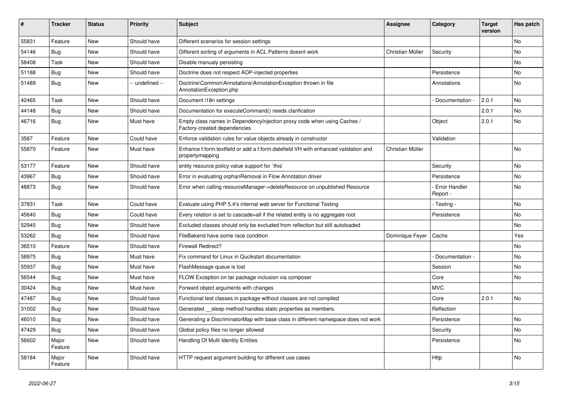| #     | <b>Tracker</b>   | <b>Status</b> | <b>Priority</b> | <b>Subject</b>                                                                                          | Assignee         | Category                    | <b>Target</b><br>version | Has patch |
|-------|------------------|---------------|-----------------|---------------------------------------------------------------------------------------------------------|------------------|-----------------------------|--------------------------|-----------|
| 55831 | Feature          | <b>New</b>    | Should have     | Different scenarios for session settings                                                                |                  |                             |                          | <b>No</b> |
| 54146 | Bug              | <b>New</b>    | Should have     | Different sorting of arguments in ACL Patterns doesnt work                                              | Christian Müller | Security                    |                          | <b>No</b> |
| 58408 | Task             | <b>New</b>    | Should have     | Disable manualy persisting                                                                              |                  |                             |                          | No        |
| 51188 | Bug              | <b>New</b>    | Should have     | Doctrine does not respect AOP-injected properties                                                       |                  | Persistence                 |                          | No        |
| 51489 | <b>Bug</b>       | <b>New</b>    | -- undefined -- | Doctrine\Common\Annotations\AnnotationException thrown in file<br>AnnotationException.php               |                  | Annotations                 |                          | <b>No</b> |
| 42465 | Task             | <b>New</b>    | Should have     | Document i18n settings                                                                                  |                  | Documentation -             | 2.0.1                    | <b>No</b> |
| 44148 | <b>Bug</b>       | New           | Should have     | Documentation for executeCommand() needs clarification                                                  |                  |                             | 2.0.1                    | <b>No</b> |
| 46716 | Bug              | New           | Must have       | Empty class names in Dependencylnjection proxy code when using Caches /<br>Factory-created dependencies |                  | Object                      | 2.0.1                    | <b>No</b> |
| 3587  | Feature          | <b>New</b>    | Could have      | Enforce validation rules for value objects already in constructor                                       |                  | Validation                  |                          |           |
| 55870 | Feature          | <b>New</b>    | Must have       | Enhance f:form.textfield or add a f:form.datefield VH with enhanced validation and<br>propertymapping   | Christian Müller |                             |                          | <b>No</b> |
| 53177 | Feature          | <b>New</b>    | Should have     | entity resource policy value support for `this`                                                         |                  | Security                    |                          | <b>No</b> |
| 43967 | <b>Bug</b>       | <b>New</b>    | Should have     | Error in evaluating orphanRemoval in Flow Annotation driver                                             |                  | Persistence                 |                          | <b>No</b> |
| 48873 | <b>Bug</b>       | <b>New</b>    | Should have     | Error when calling resourceManager->deleteResource on unpublished Resource                              |                  | - Error Handler<br>Report - |                          | <b>No</b> |
| 37831 | Task             | <b>New</b>    | Could have      | Evaluate using PHP 5.4's internal web server for Functional Testing                                     |                  | - Testing -                 |                          | <b>No</b> |
| 45640 | Bug              | <b>New</b>    | Could have      | Every relation is set to cascade=all if the related entity is no aggregate root                         |                  | Persistence                 |                          | No        |
| 52945 | Bug              | <b>New</b>    | Should have     | Excluded classes should only be excluded from reflection but still autoloaded                           |                  |                             |                          | No        |
| 53262 | <b>Bug</b>       | <b>New</b>    | Should have     | FileBakend have some race condition                                                                     | Dominique Feyer  | Cache                       |                          | Yes       |
| 36510 | Feature          | <b>New</b>    | Should have     | <b>Firewall Redirect?</b>                                                                               |                  |                             |                          | No        |
| 58975 | Bug              | <b>New</b>    | Must have       | Fix command for Linux in Qucikstart documentation                                                       |                  | Documentation -             |                          | No        |
| 55937 | <b>Bug</b>       | <b>New</b>    | Must have       | FlashMessage queue is lost                                                                              |                  | Session                     |                          | No        |
| 56544 | <b>Bug</b>       | <b>New</b>    | Must have       | FLOW Exception on tar package inclusion via composer                                                    |                  | Core                        |                          | No        |
| 30424 | <b>Bug</b>       | <b>New</b>    | Must have       | Forward object arguments with changes                                                                   |                  | <b>MVC</b>                  |                          |           |
| 47487 | <b>Bug</b>       | <b>New</b>    | Should have     | Functional test classes in package without classes are not compiled                                     |                  | Core                        | 2.0.1                    | <b>No</b> |
| 31002 | <b>Bug</b>       | <b>New</b>    | Should have     | Generated sleep method handles static properties as members.                                            |                  | Reflection                  |                          |           |
| 46010 | Bug              | <b>New</b>    | Should have     | Generating a DiscriminatorMap with base class in different namespace does not work                      |                  | Persistence                 |                          | <b>No</b> |
| 47429 | Bug              | <b>New</b>    | Should have     | Global policy files no longer allowed                                                                   |                  | Security                    |                          | <b>No</b> |
| 56602 | Major<br>Feature | New           | Should have     | Handling Of Multi Identity Entities                                                                     |                  | Persistence                 |                          | <b>No</b> |
| 58184 | Major<br>Feature | <b>New</b>    | Should have     | HTTP request argument building for different use cases                                                  |                  | Http                        |                          | <b>No</b> |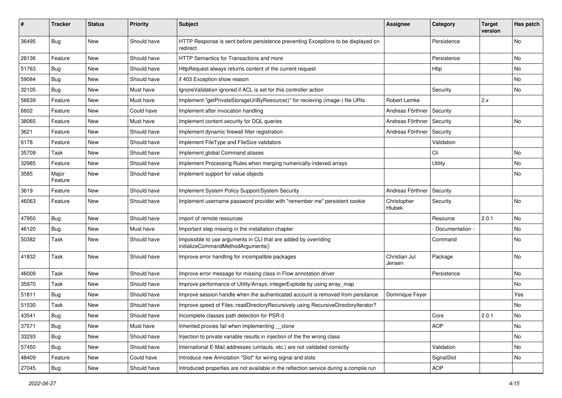| #     | <b>Tracker</b>   | <b>Status</b> | <b>Priority</b> | <b>Subject</b>                                                                                        | <b>Assignee</b>         | Category        | <b>Target</b><br>version | Has patch |
|-------|------------------|---------------|-----------------|-------------------------------------------------------------------------------------------------------|-------------------------|-----------------|--------------------------|-----------|
| 36495 | <b>Bug</b>       | New           | Should have     | HTTP Response is sent before persistence preventing Exceptions to be displayed on<br>redirect         |                         | Persistence     |                          | No        |
| 28136 | Feature          | New           | Should have     | <b>HTTP Semantics for Transactions and more</b>                                                       |                         | Persistence     |                          | No.       |
| 51763 | Bug              | <b>New</b>    | Should have     | HttpRequest always returns content of the current request                                             |                         | Http            |                          | No        |
| 59084 | Bug              | New           | Should have     | if 403 Exception show reason                                                                          |                         |                 |                          | No        |
| 32105 | <b>Bug</b>       | New           | Must have       | IgnoreValidation ignored if ACL is set for this controller action                                     |                         | Security        |                          | <b>No</b> |
| 56639 | Feature          | New           | Must have       | Implement "getPrivateStorageUriByResource()" for recieving (image-) file URIs                         | Robert Lemke            |                 | 2.x                      |           |
| 6602  | Feature          | New           | Could have      | Implement after invocation handling                                                                   | Andreas Förthner        | Security        |                          |           |
| 38065 | Feature          | New           | Must have       | Implement content security for DQL queries                                                            | Andreas Förthner        | Security        |                          | No        |
| 3621  | Feature          | New           | Should have     | Implement dynamic firewall filter registration                                                        | Andreas Förthner        | Security        |                          |           |
| 6178  | Feature          | New           | Should have     | Implement FileType and FileSize validators                                                            |                         | Validation      |                          |           |
| 35709 | Task             | New           | Should have     | Implement global Command aliases                                                                      |                         | Cli             |                          | No        |
| 32985 | Feature          | New           | Should have     | Implement Processing Rules when merging numerically-indexed arrays                                    |                         | Utility         |                          | No        |
| 3585  | Major<br>Feature | New           | Should have     | Implement support for value objects                                                                   |                         |                 |                          | No        |
| 3619  | Feature          | <b>New</b>    | Should have     | Implement System Policy Support/System Security                                                       | Andreas Förthner        | Security        |                          |           |
| 46063 | Feature          | New           | Should have     | Implement username password provider with "remember me" persistent cookie                             | Christopher<br>Hlubek   | Security        |                          | No        |
| 47950 | Bug              | New           | Should have     | import of remote resources                                                                            |                         | Resource        | 2.0.1                    | No        |
| 46120 | <b>Bug</b>       | New           | Must have       | Important step missing in the installation chapter                                                    |                         | Documentation - |                          | No        |
| 50382 | Task             | New           | Should have     | Impossible to use arguments in CLI that are added by overriding<br>initializeCommandMethodArguments() |                         | Command         |                          | No        |
| 41832 | Task             | New           | Should have     | Improve error handling for incompatible packages                                                      | Christian Jul<br>Jensen | Package         |                          | No        |
| 46009 | Task             | New           | Should have     | Improve error message for missing class in Flow annotation driver                                     |                         | Persistence     |                          | No        |
| 35970 | Task             | New           | Should have     | Improve performance of Utility/Arrays::integerExplode by using array_map                              |                         |                 |                          | No        |
| 51811 | Bug              | New           | Should have     | Improve session handle when the authenticated account is removed from persitance                      | Dominique Feyer         |                 |                          | Yes       |
| 51530 | Task             | New           | Should have     | Improve speed of Files::readDirectoryRecursively using RecursiveDirectoryIterator?                    |                         |                 |                          | No        |
| 43541 | Bug              | New           | Should have     | Incomplete classes path detection for PSR-0                                                           |                         | Core            | 2.0.1                    | No        |
| 37571 | Bug              | New           | Must have       | Inherited proxies fail when implementing __clone                                                      |                         | <b>AOP</b>      |                          | No        |
| 33293 | Bug              | New           | Should have     | Injection to private variable results in injection of the the wrong class                             |                         |                 |                          | No        |
| 57450 | Bug              | New           | Should have     | International E-Mail addresses (umlauts, etc.) are not validated correctly                            |                         | Validation      |                          | No        |
| 48409 | Feature          | New           | Could have      | Introduce new Annotation "Slot" for wiring signal and slots                                           |                         | SignalSlot      |                          | No        |
| 27045 | Bug              | New           | Should have     | Introduced properties are not available in the reflection service during a compile run                |                         | AOP             |                          |           |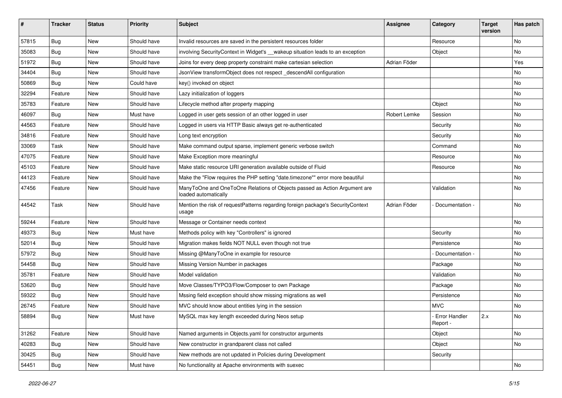| #     | <b>Tracker</b> | <b>Status</b> | <b>Priority</b> | <b>Subject</b>                                                                                    | <b>Assignee</b> | Category                    | <b>Target</b><br>version | Has patch |
|-------|----------------|---------------|-----------------|---------------------------------------------------------------------------------------------------|-----------------|-----------------------------|--------------------------|-----------|
| 57815 | Bug            | New           | Should have     | Invalid resources are saved in the persistent resources folder                                    |                 | Resource                    |                          | No        |
| 35083 | <b>Bug</b>     | New           | Should have     | involving SecurityContext in Widget's __wakeup situation leads to an exception                    |                 | Object                      |                          | No        |
| 51972 | <b>Bug</b>     | New           | Should have     | Joins for every deep property constraint make cartesian selection                                 | Adrian Föder    |                             |                          | Yes       |
| 34404 | <b>Bug</b>     | New           | Should have     | JsonView transformObject does not respect_descendAll configuration                                |                 |                             |                          | No        |
| 50869 | <b>Bug</b>     | New           | Could have      | key() invoked on object                                                                           |                 |                             |                          | No        |
| 32294 | Feature        | New           | Should have     | Lazy initialization of loggers                                                                    |                 |                             |                          | No        |
| 35783 | Feature        | New           | Should have     | Lifecycle method after property mapping                                                           |                 | Object                      |                          | No        |
| 46097 | <b>Bug</b>     | New           | Must have       | Logged in user gets session of an other logged in user                                            | Robert Lemke    | Session                     |                          | No        |
| 44563 | Feature        | New           | Should have     | Logged in users via HTTP Basic always get re-authenticated                                        |                 | Security                    |                          | No        |
| 34816 | Feature        | New           | Should have     | Long text encryption                                                                              |                 | Security                    |                          | No        |
| 33069 | Task           | New           | Should have     | Make command output sparse, implement generic verbose switch                                      |                 | Command                     |                          | No        |
| 47075 | Feature        | New           | Should have     | Make Exception more meaningful                                                                    |                 | Resource                    |                          | No        |
| 45103 | Feature        | New           | Should have     | Make static resource URI generation available outside of Fluid                                    |                 | Resource                    |                          | No        |
| 44123 | Feature        | New           | Should have     | Make the "Flow requires the PHP setting "date.timezone"" error more beautiful                     |                 |                             |                          | No        |
| 47456 | Feature        | New           | Should have     | ManyToOne and OneToOne Relations of Objects passed as Action Argument are<br>loaded automatically |                 | Validation                  |                          | No        |
| 44542 | Task           | New           | Should have     | Mention the risk of requestPatterns regarding foreign package's SecurityContext<br>usage          | Adrian Föder    | Documentation -             |                          | No        |
| 59244 | Feature        | <b>New</b>    | Should have     | Message or Container needs context                                                                |                 |                             |                          | <b>No</b> |
| 49373 | <b>Bug</b>     | New           | Must have       | Methods policy with key "Controllers" is ignored                                                  |                 | Security                    |                          | No        |
| 52014 | <b>Bug</b>     | New           | Should have     | Migration makes fields NOT NULL even though not true                                              |                 | Persistence                 |                          | No        |
| 57972 | Bug            | New           | Should have     | Missing @ManyToOne in example for resource                                                        |                 | Documentation -             |                          | No        |
| 54458 | <b>Bug</b>     | New           | Should have     | Missing Version Number in packages                                                                |                 | Package                     |                          | No        |
| 35781 | Feature        | New           | Should have     | Model validation                                                                                  |                 | Validation                  |                          | No        |
| 53620 | <b>Bug</b>     | New           | Should have     | Move Classes/TYPO3/Flow/Composer to own Package                                                   |                 | Package                     |                          | No        |
| 59322 | <b>Bug</b>     | New           | Should have     | Mssing field exception should show missing migrations as well                                     |                 | Persistence                 |                          | No        |
| 26745 | Feature        | New           | Should have     | MVC should know about entities lying in the session                                               |                 | <b>MVC</b>                  |                          | No        |
| 58894 | Bug            | New           | Must have       | MySQL max key length exceeded during Neos setup                                                   |                 | - Error Handler<br>Report - | 2.x                      | No        |
| 31262 | Feature        | New           | Should have     | Named arguments in Objects.yaml for constructor arguments                                         |                 | Object                      |                          | No        |
| 40283 | <b>Bug</b>     | New           | Should have     | New constructor in grandparent class not called                                                   |                 | Object                      |                          | No        |
| 30425 | Bug            | New           | Should have     | New methods are not updated in Policies during Development                                        |                 | Security                    |                          |           |
| 54451 | Bug            | New           | Must have       | No functionality at Apache environments with suexec                                               |                 |                             |                          | No        |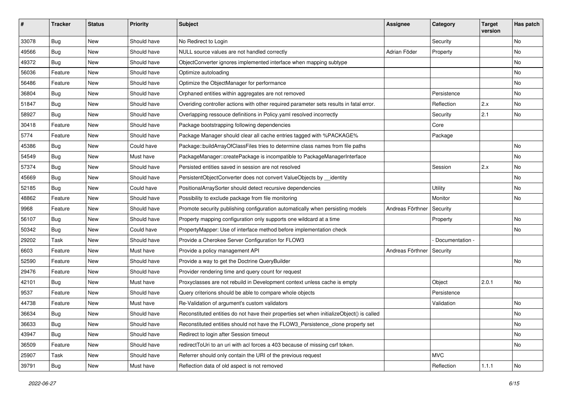| #     | <b>Tracker</b> | <b>Status</b> | <b>Priority</b> | <b>Subject</b>                                                                            | <b>Assignee</b>  | Category        | <b>Target</b><br>version | Has patch |
|-------|----------------|---------------|-----------------|-------------------------------------------------------------------------------------------|------------------|-----------------|--------------------------|-----------|
| 33078 | Bug            | New           | Should have     | No Redirect to Login                                                                      |                  | Security        |                          | No        |
| 49566 | <b>Bug</b>     | New           | Should have     | NULL source values are not handled correctly                                              | Adrian Föder     | Property        |                          | No        |
| 49372 | <b>Bug</b>     | New           | Should have     | ObjectConverter ignores implemented interface when mapping subtype                        |                  |                 |                          | No        |
| 56036 | Feature        | New           | Should have     | Optimize autoloading                                                                      |                  |                 |                          | No        |
| 56486 | Feature        | New           | Should have     | Optimize the ObjectManager for performance                                                |                  |                 |                          | No        |
| 36804 | Bug            | New           | Should have     | Orphaned entities within aggregates are not removed                                       |                  | Persistence     |                          | No        |
| 51847 | <b>Bug</b>     | New           | Should have     | Overiding controller actions with other required parameter sets results in fatal error.   |                  | Reflection      | 2.x                      | No        |
| 58927 | <b>Bug</b>     | New           | Should have     | Overlapping ressouce definitions in Policy yaml resolved incorrectly                      |                  | Security        | 2.1                      | No        |
| 30418 | Feature        | New           | Should have     | Package bootstrapping following dependencies                                              |                  | Core            |                          |           |
| 5774  | Feature        | New           | Should have     | Package Manager should clear all cache entries tagged with %PACKAGE%                      |                  | Package         |                          |           |
| 45386 | <b>Bug</b>     | New           | Could have      | Package::buildArrayOfClassFiles tries to determine class names from file paths            |                  |                 |                          | <b>No</b> |
| 54549 | <b>Bug</b>     | New           | Must have       | PackageManager::createPackage is incompatible to PackageManagerInterface                  |                  |                 |                          | No        |
| 57374 | <b>Bug</b>     | New           | Should have     | Persisted entities saved in session are not resolved                                      |                  | Session         | 2.x                      | No        |
| 45669 | Bug            | New           | Should have     | PersistentObjectConverter does not convert ValueObjects by __identity                     |                  |                 |                          | No        |
| 52185 | <b>Bug</b>     | New           | Could have      | PositionalArraySorter should detect recursive dependencies                                |                  | Utility         |                          | No        |
| 48862 | Feature        | New           | Should have     | Possibility to exclude package from file monitoring                                       |                  | Monitor         |                          | <b>No</b> |
| 9968  | Feature        | New           | Should have     | Promote security publishing configuration automatically when persisting models            | Andreas Förthner | Security        |                          |           |
| 56107 | <b>Bug</b>     | New           | Should have     | Property mapping configuration only supports one wildcard at a time                       |                  | Property        |                          | No        |
| 50342 | Bug            | New           | Could have      | PropertyMapper: Use of interface method before implementation check                       |                  |                 |                          | No        |
| 29202 | Task           | New           | Should have     | Provide a Cherokee Server Configuration for FLOW3                                         |                  | Documentation - |                          |           |
| 6603  | Feature        | New           | Must have       | Provide a policy management API                                                           | Andreas Förthner | Security        |                          |           |
| 52590 | Feature        | New           | Should have     | Provide a way to get the Doctrine QueryBuilder                                            |                  |                 |                          | No        |
| 29476 | Feature        | New           | Should have     | Provider rendering time and query count for request                                       |                  |                 |                          |           |
| 42101 | <b>Bug</b>     | New           | Must have       | Proxyclasses are not rebuild in Development context unless cache is empty                 |                  | Object          | 2.0.1                    | No        |
| 9537  | Feature        | New           | Should have     | Query criterions should be able to compare whole objects                                  |                  | Persistence     |                          |           |
| 44738 | Feature        | New           | Must have       | Re-Validation of argument's custom validators                                             |                  | Validation      |                          | No        |
| 36634 | Bug            | New           | Should have     | Reconstituted entities do not have their properties set when initializeObject() is called |                  |                 |                          | No        |
| 36633 | <b>Bug</b>     | New           | Should have     | Reconstituted entities should not have the FLOW3_Persistence_clone property set           |                  |                 |                          | No        |
| 43947 | <b>Bug</b>     | New           | Should have     | Redirect to login after Session timeout                                                   |                  |                 |                          | No        |
| 36509 | Feature        | New           | Should have     | redirectToUri to an uri with acl forces a 403 because of missing csrf token.              |                  |                 |                          | No        |
| 25907 | Task           | New           | Should have     | Referrer should only contain the URI of the previous request                              |                  | <b>MVC</b>      |                          |           |
| 39791 | <b>Bug</b>     | New           | Must have       | Reflection data of old aspect is not removed                                              |                  | Reflection      | 1.1.1                    | No        |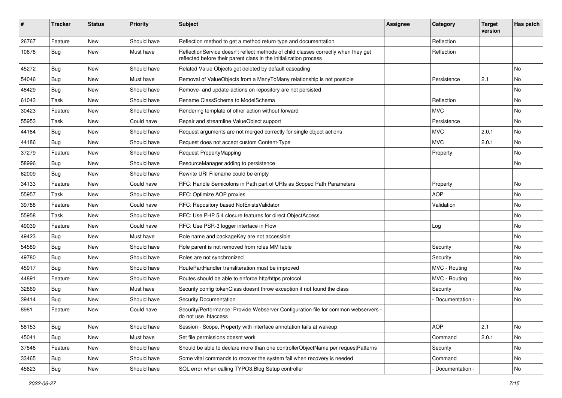| ∦     | <b>Tracker</b> | <b>Status</b> | <b>Priority</b> | <b>Subject</b>                                                                                                                                          | Assignee | Category          | <b>Target</b><br>version | Has patch |
|-------|----------------|---------------|-----------------|---------------------------------------------------------------------------------------------------------------------------------------------------------|----------|-------------------|--------------------------|-----------|
| 26767 | Feature        | <b>New</b>    | Should have     | Reflection method to get a method return type and documentation                                                                                         |          | Reflection        |                          |           |
| 10678 | Bug            | <b>New</b>    | Must have       | ReflectionService doesn't reflect methods of child classes correctly when they get<br>reflected before their parent class in the initialization process |          | Reflection        |                          |           |
| 45272 | Bug            | <b>New</b>    | Should have     | Related Value Objects get deleted by default cascading                                                                                                  |          |                   |                          | No        |
| 54046 | <b>Bug</b>     | New           | Must have       | Removal of ValueObjects from a ManyToMany relationship is not possible                                                                                  |          | Persistence       | 2.1                      | No        |
| 48429 | Bug            | <b>New</b>    | Should have     | Remove- and update-actions on repository are not persisted                                                                                              |          |                   |                          | No.       |
| 61043 | Task           | New           | Should have     | Rename ClassSchema to ModelSchema                                                                                                                       |          | Reflection        |                          | No        |
| 30423 | Feature        | <b>New</b>    | Should have     | Rendering template of other action without forward                                                                                                      |          | <b>MVC</b>        |                          | No        |
| 55953 | Task           | <b>New</b>    | Could have      | Repair and streamline ValueObject support                                                                                                               |          | Persistence       |                          | No        |
| 44184 | <b>Bug</b>     | New           | Should have     | Request arguments are not merged correctly for single object actions                                                                                    |          | <b>MVC</b>        | 2.0.1                    | No        |
| 44186 | <b>Bug</b>     | <b>New</b>    | Should have     | Request does not accept custom Content-Type                                                                                                             |          | <b>MVC</b>        | 2.0.1                    | No.       |
| 37279 | Feature        | New           | Should have     | <b>Request PropertyMapping</b>                                                                                                                          |          | Property          |                          | No        |
| 58996 | <b>Bug</b>     | <b>New</b>    | Should have     | ResourceManager adding to persistence                                                                                                                   |          |                   |                          | No        |
| 62009 | Bug            | <b>New</b>    | Should have     | Rewrite URI Filename could be empty                                                                                                                     |          |                   |                          |           |
| 34133 | Feature        | New           | Could have      | RFC: Handle Semicolons in Path part of URIs as Scoped Path Parameters                                                                                   |          | Property          |                          | No        |
| 55957 | Task           | <b>New</b>    | Should have     | RFC: Optimize AOP proxies                                                                                                                               |          | <b>AOP</b>        |                          | No        |
| 39788 | Feature        | <b>New</b>    | Could have      | RFC: Repository based NotExistsValidator                                                                                                                |          | Validation        |                          | No        |
| 55958 | Task           | New           | Should have     | RFC: Use PHP 5.4 closure features for direct ObjectAccess                                                                                               |          |                   |                          | No        |
| 49039 | Feature        | <b>New</b>    | Could have      | RFC: Use PSR-3 logger interface in Flow                                                                                                                 |          | Log               |                          | No.       |
| 49423 | <b>Bug</b>     | New           | Must have       | Role name and packageKey are not accessible                                                                                                             |          |                   |                          | No        |
| 54589 | <b>Bug</b>     | <b>New</b>    | Should have     | Role parent is not removed from roles MM table                                                                                                          |          | Security          |                          | No        |
| 49780 | Bug            | <b>New</b>    | Should have     | Roles are not synchronized                                                                                                                              |          | Security          |                          | No        |
| 45917 | <b>Bug</b>     | New           | Should have     | RoutePartHandler transliteration must be improved                                                                                                       |          | MVC - Routing     |                          | No        |
| 44891 | Feature        | <b>New</b>    | Should have     | Routes should be able to enforce http/https protocol                                                                                                    |          | MVC - Routing     |                          | No.       |
| 32869 | <b>Bug</b>     | New           | Must have       | Security config tokenClass doesnt throw exception if not found the class                                                                                |          | Security          |                          | No        |
| 39414 | <b>Bug</b>     | <b>New</b>    | Should have     | <b>Security Documentation</b>                                                                                                                           |          | Documentation -   |                          | <b>No</b> |
| 8981  | Feature        | <b>New</b>    | Could have      | Security/Performance: Provide Webserver Configuration file for common webservers -<br>do not use .htaccess                                              |          |                   |                          |           |
| 58153 | Bug            | New           | Should have     | Session - Scope, Property with interface annotation fails at wakeup                                                                                     |          | <b>AOP</b>        | 2.1                      | No        |
| 45041 | Bug            | New           | Must have       | Set file permissions doesnt work                                                                                                                        |          | Command           | 2.0.1                    | No        |
| 37846 | Feature        | New           | Should have     | Should be able to declare more than one controllerObjectName per requestPatterns                                                                        |          | Security          |                          | No        |
| 33465 | Bug            | New           | Should have     | Some vital commands to recover the system fail when recovery is needed                                                                                  |          | Command           |                          | No        |
| 45623 | Bug            | New           | Should have     | SQL error when calling TYPO3.Blog Setup controller                                                                                                      |          | - Documentation - |                          | No        |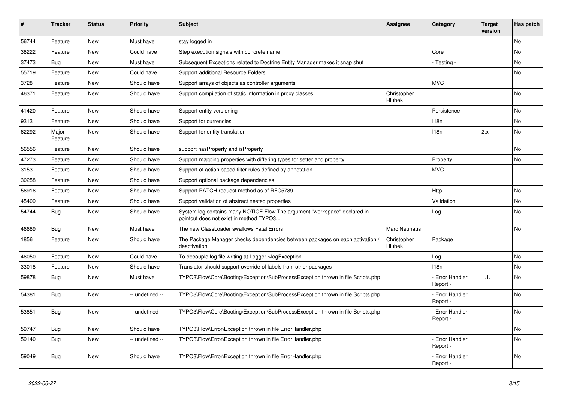| #     | <b>Tracker</b>   | <b>Status</b> | <b>Priority</b> | <b>Subject</b>                                                                                                       | <b>Assignee</b>       | Category                         | Target<br>version | Has patch |
|-------|------------------|---------------|-----------------|----------------------------------------------------------------------------------------------------------------------|-----------------------|----------------------------------|-------------------|-----------|
| 56744 | Feature          | <b>New</b>    | Must have       | stay logged in                                                                                                       |                       |                                  |                   | <b>No</b> |
| 38222 | Feature          | <b>New</b>    | Could have      | Step execution signals with concrete name                                                                            |                       | Core                             |                   | No        |
| 37473 | <b>Bug</b>       | <b>New</b>    | Must have       | Subsequent Exceptions related to Doctrine Entity Manager makes it snap shut                                          |                       | - Testing -                      |                   | No        |
| 55719 | Feature          | New           | Could have      | Support additional Resource Folders                                                                                  |                       |                                  |                   | <b>No</b> |
| 3728  | Feature          | <b>New</b>    | Should have     | Support arrays of objects as controller arguments                                                                    |                       | <b>MVC</b>                       |                   |           |
| 46371 | Feature          | <b>New</b>    | Should have     | Support compilation of static information in proxy classes                                                           | Christopher<br>Hlubek |                                  |                   | <b>No</b> |
| 41420 | Feature          | <b>New</b>    | Should have     | Support entity versioning                                                                                            |                       | Persistence                      |                   | <b>No</b> |
| 9313  | Feature          | <b>New</b>    | Should have     | Support for currencies                                                                                               |                       | 118 <sub>n</sub>                 |                   | No        |
| 62292 | Major<br>Feature | <b>New</b>    | Should have     | Support for entity translation                                                                                       |                       | 118n                             | 2.x               | No        |
| 56556 | Feature          | New           | Should have     | support has Property and is Property                                                                                 |                       |                                  |                   | <b>No</b> |
| 47273 | Feature          | New           | Should have     | Support mapping properties with differing types for setter and property                                              |                       | Property                         |                   | No        |
| 3153  | Feature          | <b>New</b>    | Should have     | Support of action based filter rules defined by annotation.                                                          |                       | <b>MVC</b>                       |                   |           |
| 30258 | Feature          | <b>New</b>    | Should have     | Support optional package dependencies                                                                                |                       |                                  |                   |           |
| 56916 | Feature          | <b>New</b>    | Should have     | Support PATCH request method as of RFC5789                                                                           |                       | Http                             |                   | No        |
| 45409 | Feature          | <b>New</b>    | Should have     | Support validation of abstract nested properties                                                                     |                       | Validation                       |                   | No        |
| 54744 | <b>Bug</b>       | <b>New</b>    | Should have     | System.log contains many NOTICE Flow The argument "workspace" declared in<br>pointcut does not exist in method TYPO3 |                       | Log                              |                   | <b>No</b> |
| 46689 | <b>Bug</b>       | <b>New</b>    | Must have       | The new ClassLoader swallows Fatal Errors                                                                            | Marc Neuhaus          |                                  |                   | <b>No</b> |
| 1856  | Feature          | <b>New</b>    | Should have     | The Package Manager checks dependencies between packages on each activation<br>deactivation                          | Christopher<br>Hlubek | Package                          |                   |           |
| 46050 | Feature          | <b>New</b>    | Could have      | To decouple log file writing at Logger->logException                                                                 |                       | Log                              |                   | <b>No</b> |
| 33018 | Feature          | <b>New</b>    | Should have     | Translator should support override of labels from other packages                                                     |                       | 118n                             |                   | No        |
| 59878 | <b>Bug</b>       | <b>New</b>    | Must have       | TYPO3\Flow\Core\Booting\Exception\SubProcessException thrown in file Scripts.php                                     |                       | - Error Handler<br>Report ·      | 1.1.1             | <b>No</b> |
| 54381 | Bug              | New           | -- undefined -- | TYPO3\Flow\Core\Booting\Exception\SubProcessException thrown in file Scripts.php                                     |                       | Error Handler<br>Report -        |                   | No        |
| 53851 | <b>Bug</b>       | <b>New</b>    | -- undefined -- | TYPO3\Flow\Core\Booting\Exception\SubProcessException thrown in file Scripts.php                                     |                       | - Error Handler<br>Report -      |                   | <b>No</b> |
| 59747 | Bug              | <b>New</b>    | Should have     | TYPO3\Flow\Error\Exception thrown in file ErrorHandler.php                                                           |                       |                                  |                   | <b>No</b> |
| 59140 | Bug              | New           | -- undefined -- | TYPO3\Flow\Error\Exception thrown in file ErrorHandler.php                                                           |                       | <b>Error Handler</b><br>Report - |                   | <b>No</b> |
| 59049 | Bug              | <b>New</b>    | Should have     | TYPO3\Flow\Error\Exception thrown in file ErrorHandler.php                                                           |                       | Error Handler<br>Report -        |                   | No        |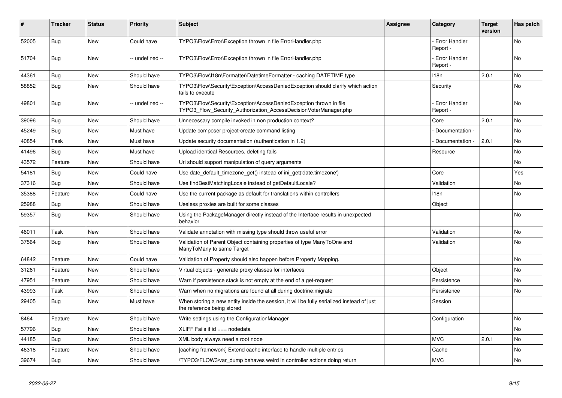| #     | <b>Tracker</b> | <b>Status</b> | <b>Priority</b> | <b>Subject</b>                                                                                                                         | <b>Assignee</b> | Category                         | <b>Target</b><br>version | Has patch |
|-------|----------------|---------------|-----------------|----------------------------------------------------------------------------------------------------------------------------------------|-----------------|----------------------------------|--------------------------|-----------|
| 52005 | Bug            | <b>New</b>    | Could have      | TYPO3\Flow\Error\Exception thrown in file ErrorHandler.php                                                                             |                 | Error Handler<br>Report -        |                          | <b>No</b> |
| 51704 | Bug            | <b>New</b>    | -- undefined -- | TYPO3\Flow\Error\Exception thrown in file ErrorHandler.php                                                                             |                 | Error Handler<br>Report -        |                          | No        |
| 44361 | Bug            | New           | Should have     | TYPO3\Flow\I18n\Formatter\DatetimeFormatter - caching DATETIME type                                                                    |                 | 118 <sub>n</sub>                 | 2.0.1                    | No        |
| 58852 | Bug            | <b>New</b>    | Should have     | TYPO3\Flow\Security\Exception\AccessDeniedException should clarify which action<br>fails to execute                                    |                 | Security                         |                          | No        |
| 49801 | <b>Bug</b>     | New           | -- undefined -- | TYPO3\Flow\Security\Exception\AccessDeniedException thrown in file<br>TYPO3_Flow_Security_Authorization_AccessDecisionVoterManager.php |                 | <b>Error Handler</b><br>Report - |                          | <b>No</b> |
| 39096 | Bug            | <b>New</b>    | Should have     | Unnecessary compile invoked in non production context?                                                                                 |                 | Core                             | 2.0.1                    | No        |
| 45249 | Bug            | <b>New</b>    | Must have       | Update composer project-create command listing                                                                                         |                 | Documentation -                  |                          | No        |
| 40854 | Task           | New           | Must have       | Update security documentation (authentication in 1.2)                                                                                  |                 | Documentation -                  | 2.0.1                    | No        |
| 41496 | Bug            | <b>New</b>    | Must have       | Upload identical Resources, deleting fails                                                                                             |                 | Resource                         |                          | No        |
| 43572 | Feature        | <b>New</b>    | Should have     | Uri should support manipulation of query arguments                                                                                     |                 |                                  |                          | No.       |
| 54181 | <b>Bug</b>     | New           | Could have      | Use date default timezone get() instead of ini get('date.timezone')                                                                    |                 | Core                             |                          | Yes       |
| 37316 | Bug            | New           | Should have     | Use findBestMatchingLocale instead of getDefaultLocale?                                                                                |                 | Validation                       |                          | No        |
| 35388 | Feature        | New           | Could have      | Use the current package as default for translations within controllers                                                                 |                 | 118 <sub>n</sub>                 |                          | No        |
| 25988 | Bug            | <b>New</b>    | Should have     | Useless proxies are built for some classes                                                                                             |                 | Object                           |                          |           |
| 59357 | Bug            | <b>New</b>    | Should have     | Using the PackageManager directly instead of the Interface results in unexpected<br>behavior                                           |                 |                                  |                          | No        |
| 46011 | Task           | <b>New</b>    | Should have     | Validate annotation with missing type should throw useful error                                                                        |                 | Validation                       |                          | No.       |
| 37564 | Bug            | New           | Should have     | Validation of Parent Object containing properties of type ManyToOne and<br>ManyToMany to same Target                                   |                 | Validation                       |                          | No        |
| 64842 | Feature        | <b>New</b>    | Could have      | Validation of Property should also happen before Property Mapping.                                                                     |                 |                                  |                          | <b>No</b> |
| 31261 | Feature        | <b>New</b>    | Should have     | Virtual objects - generate proxy classes for interfaces                                                                                |                 | Object                           |                          | No        |
| 47951 | Feature        | New           | Should have     | Warn if persistence stack is not empty at the end of a get-request                                                                     |                 | Persistence                      |                          | No        |
| 43993 | Task           | <b>New</b>    | Should have     | Warn when no migrations are found at all during doctrine: migrate                                                                      |                 | Persistence                      |                          | No        |
| 29405 | Bug            | <b>New</b>    | Must have       | When storing a new entity inside the session, it will be fully serialized instead of just<br>the reference being stored                |                 | Session                          |                          |           |
| 8464  | Feature        | <b>New</b>    | Should have     | Write settings using the ConfigurationManager                                                                                          |                 | Configuration                    |                          | No        |
| 57796 | Bug            | <b>New</b>    | Should have     | XLIFF Fails if $id ==$ nodedata                                                                                                        |                 |                                  |                          | <b>No</b> |
| 44185 | <b>Bug</b>     | <b>New</b>    | Should have     | XML body always need a root node                                                                                                       |                 | <b>MVC</b>                       | 2.0.1                    | No        |
| 46318 | Feature        | <b>New</b>    | Should have     | [caching framework] Extend cache interface to handle multiple entries                                                                  |                 | Cache                            |                          | <b>No</b> |
| 39674 | Bug            | <b>New</b>    | Should have     | TYPO3\FLOW3\var dump behaves weird in controller actions doing return                                                                  |                 | <b>MVC</b>                       |                          | No        |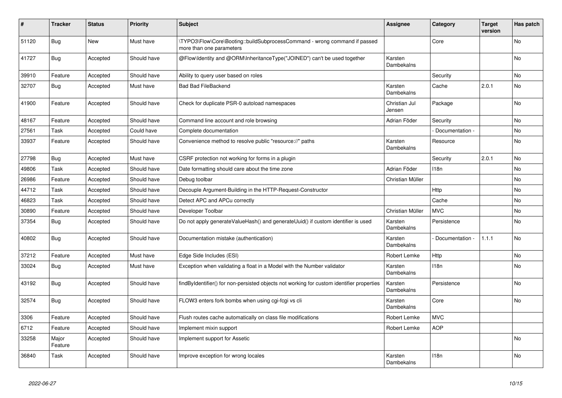| #     | <b>Tracker</b>   | <b>Status</b> | <b>Priority</b> | <b>Subject</b>                                                                                         | <b>Assignee</b>         | Category        | <b>Target</b><br>version | Has patch |
|-------|------------------|---------------|-----------------|--------------------------------------------------------------------------------------------------------|-------------------------|-----------------|--------------------------|-----------|
| 51120 | <b>Bug</b>       | <b>New</b>    | Must have       | \TYPO3\Flow\Core\Booting::buildSubprocessCommand - wrong command if passed<br>more than one parameters |                         | Core            |                          | <b>No</b> |
| 41727 | Bug              | Accepted      | Should have     | @Flow\Identity and @ORM\InheritanceType("JOINED") can't be used together                               | Karsten<br>Dambekalns   |                 |                          | <b>No</b> |
| 39910 | Feature          | Accepted      | Should have     | Ability to query user based on roles                                                                   |                         | Security        |                          | <b>No</b> |
| 32707 | Bug              | Accepted      | Must have       | <b>Bad Bad FileBackend</b>                                                                             | Karsten<br>Dambekalns   | Cache           | 2.0.1                    | No        |
| 41900 | Feature          | Accepted      | Should have     | Check for duplicate PSR-0 autoload namespaces                                                          | Christian Jul<br>Jensen | Package         |                          | No        |
| 48167 | Feature          | Accepted      | Should have     | Command line account and role browsing                                                                 | Adrian Föder            | Security        |                          | No        |
| 27561 | Task             | Accepted      | Could have      | Complete documentation                                                                                 |                         | Documentation - |                          | No        |
| 33937 | Feature          | Accepted      | Should have     | Convenience method to resolve public "resource://" paths                                               | Karsten<br>Dambekalns   | Resource        |                          | No        |
| 27798 | Bug              | Accepted      | Must have       | CSRF protection not working for forms in a plugin                                                      |                         | Security        | 2.0.1                    | <b>No</b> |
| 49806 | Task             | Accepted      | Should have     | Date formatting should care about the time zone                                                        | Adrian Föder            | 118n            |                          | No        |
| 26986 | Feature          | Accepted      | Should have     | Debug toolbar                                                                                          | Christian Müller        |                 |                          | No        |
| 44712 | Task             | Accepted      | Should have     | Decouple Argument-Building in the HTTP-Request-Constructor                                             |                         | Http            |                          | <b>No</b> |
| 46823 | Task             | Accepted      | Should have     | Detect APC and APCu correctly                                                                          |                         | Cache           |                          | <b>No</b> |
| 30890 | Feature          | Accepted      | Should have     | Developer Toolbar                                                                                      | Christian Müller        | <b>MVC</b>      |                          | No        |
| 37354 | Bug              | Accepted      | Should have     | Do not apply generateValueHash() and generateUuid() if custom identifier is used                       | Karsten<br>Dambekalns   | Persistence     |                          | No        |
| 40802 | Bug              | Accepted      | Should have     | Documentation mistake (authentication)                                                                 | Karsten<br>Dambekalns   | Documentation - | 1.1.1                    | <b>No</b> |
| 37212 | Feature          | Accepted      | Must have       | Edge Side Includes (ESI)                                                                               | Robert Lemke            | Http            |                          | <b>No</b> |
| 33024 | Bug              | Accepted      | Must have       | Exception when validating a float in a Model with the Number validator                                 | Karsten<br>Dambekalns   | 118n            |                          | No        |
| 43192 | Bug              | Accepted      | Should have     | findByIdentifier() for non-persisted objects not working for custom identifier properties              | Karsten<br>Dambekalns   | Persistence     |                          | <b>No</b> |
| 32574 | Bug              | Accepted      | Should have     | FLOW3 enters fork bombs when using cgi-fcgi vs cli                                                     | Karsten<br>Dambekalns   | Core            |                          | No        |
| 3306  | Feature          | Accepted      | Should have     | Flush routes cache automatically on class file modifications                                           | Robert Lemke            | <b>MVC</b>      |                          |           |
| 6712  | Feature          | Accepted      | Should have     | Implement mixin support                                                                                | Robert Lemke            | <b>AOP</b>      |                          |           |
| 33258 | Major<br>Feature | Accepted      | Should have     | Implement support for Assetic                                                                          |                         |                 |                          | No        |
| 36840 | Task             | Accepted      | Should have     | Improve exception for wrong locales                                                                    | Karsten<br>Dambekalns   | 118n            |                          | No        |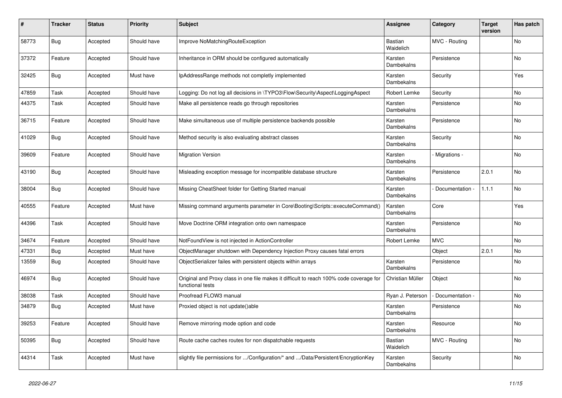| #     | <b>Tracker</b> | <b>Status</b> | <b>Priority</b> | <b>Subject</b>                                                                                              | <b>Assignee</b>              | Category        | Target<br>version | Has patch |
|-------|----------------|---------------|-----------------|-------------------------------------------------------------------------------------------------------------|------------------------------|-----------------|-------------------|-----------|
| 58773 | <b>Bug</b>     | Accepted      | Should have     | Improve NoMatchingRouteException                                                                            | <b>Bastian</b><br>Waidelich  | MVC - Routing   |                   | <b>No</b> |
| 37372 | Feature        | Accepted      | Should have     | Inheritance in ORM should be configured automatically                                                       | Karsten<br>Dambekalns        | Persistence     |                   | No        |
| 32425 | Bug            | Accepted      | Must have       | IpAddressRange methods not completly implemented                                                            | Karsten<br>Dambekalns        | Security        |                   | Yes       |
| 47859 | Task           | Accepted      | Should have     | Logging: Do not log all decisions in \TYPO3\Flow\Security\Aspect\LoggingAspect                              | <b>Robert Lemke</b>          | Security        |                   | No.       |
| 44375 | Task           | Accepted      | Should have     | Make all persistence reads go through repositories                                                          | Karsten<br><b>Dambekalns</b> | Persistence     |                   | <b>No</b> |
| 36715 | Feature        | Accepted      | Should have     | Make simultaneous use of multiple persistence backends possible                                             | Karsten<br>Dambekalns        | Persistence     |                   | No        |
| 41029 | Bug            | Accepted      | Should have     | Method security is also evaluating abstract classes                                                         | Karsten<br>Dambekalns        | Security        |                   | No        |
| 39609 | Feature        | Accepted      | Should have     | <b>Migration Version</b>                                                                                    | Karsten<br>Dambekalns        | Migrations -    |                   | <b>No</b> |
| 43190 | <b>Bug</b>     | Accepted      | Should have     | Misleading exception message for incompatible database structure                                            | Karsten<br>Dambekalns        | Persistence     | 2.0.1             | No        |
| 38004 | <b>Bug</b>     | Accepted      | Should have     | Missing CheatSheet folder for Getting Started manual                                                        | Karsten<br>Dambekalns        | Documentation - | 1.1.1             | No        |
| 40555 | Feature        | Accepted      | Must have       | Missing command arguments parameter in Core\Booting\Scripts::executeCommand()                               | Karsten<br><b>Dambekalns</b> | Core            |                   | Yes       |
| 44396 | Task           | Accepted      | Should have     | Move Doctrine ORM integration onto own namespace                                                            | Karsten<br>Dambekalns        | Persistence     |                   | No        |
| 34674 | Feature        | Accepted      | Should have     | NotFoundView is not injected in ActionController                                                            | Robert Lemke                 | <b>MVC</b>      |                   | No        |
| 47331 | <b>Bug</b>     | Accepted      | Must have       | ObjectManager shutdown with Dependency Injection Proxy causes fatal errors                                  |                              | Object          | 2.0.1             | No        |
| 13559 | <b>Bug</b>     | Accepted      | Should have     | ObjectSerializer failes with persistent objects within arrays                                               | Karsten<br>Dambekalns        | Persistence     |                   | No        |
| 46974 | <b>Bug</b>     | Accepted      | Should have     | Original and Proxy class in one file makes it difficult to reach 100% code coverage for<br>functional tests | Christian Müller             | Object          |                   | <b>No</b> |
| 38038 | Task           | Accepted      | Should have     | Proofread FLOW3 manual                                                                                      | Ryan J. Peterson             | Documentation - |                   | No        |
| 34879 | Bug            | Accepted      | Must have       | Proxied object is not update()able                                                                          | Karsten<br>Dambekalns        | Persistence     |                   | No        |
| 39253 | Feature        | Accepted      | Should have     | Remove mirroring mode option and code                                                                       | Karsten<br>Dambekalns        | Resource        |                   | No        |
| 50395 | <b>Bug</b>     | Accepted      | Should have     | Route cache caches routes for non dispatchable requests                                                     | Bastian<br>Waidelich         | MVC - Routing   |                   | <b>No</b> |
| 44314 | Task           | Accepted      | Must have       | slightly file permissions for /Configuration/* and /Data/Persistent/EncryptionKey                           | Karsten<br>Dambekalns        | Security        |                   | No        |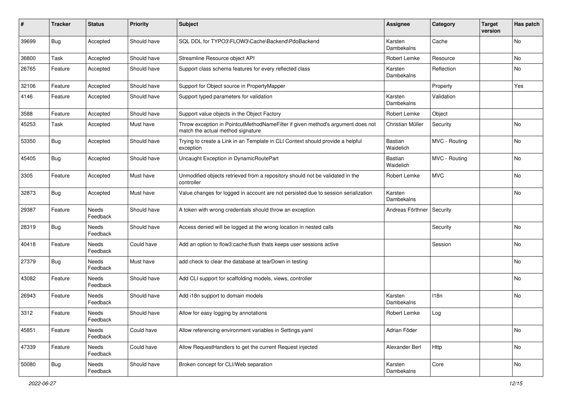| #     | <b>Tracker</b> | <b>Status</b>            | <b>Priority</b> | <b>Subject</b>                                                                                                       | Assignee              | Category      | <b>Target</b><br>version | Has patch |
|-------|----------------|--------------------------|-----------------|----------------------------------------------------------------------------------------------------------------------|-----------------------|---------------|--------------------------|-----------|
| 39699 | Bug            | Accepted                 | Should have     | SQL DDL for TYPO3\FLOW3\Cache\Backend\PdoBackend                                                                     | Karsten<br>Dambekalns | Cache         |                          | No        |
| 36800 | Task           | Accepted                 | Should have     | Streamline Resource object API                                                                                       | Robert Lemke          | Resource      |                          | No        |
| 26765 | Feature        | Accepted                 | Should have     | Support class schema features for every reflected class                                                              | Karsten<br>Dambekalns | Reflection    |                          | No        |
| 32106 | Feature        | Accepted                 | Should have     | Support for Object source in PropertyMapper                                                                          |                       | Property      |                          | Yes       |
| 4146  | Feature        | Accepted                 | Should have     | Support typed parameters for validation                                                                              | Karsten<br>Dambekalns | Validation    |                          |           |
| 3588  | Feature        | Accepted                 | Should have     | Support value objects in the Object Factory                                                                          | Robert Lemke          | Object        |                          |           |
| 45253 | Task           | Accepted                 | Must have       | Throw exception in PointcutMethodNameFilter if given method's argument does not<br>match the actual method signature | Christian Müller      | Security      |                          | No        |
| 53350 | Bug            | Accepted                 | Should have     | Trying to create a Link in an Template in CLI Context should provide a helpful<br>exception                          | Bastian<br>Waidelich  | MVC - Routing |                          | No        |
| 45405 | Bug            | Accepted                 | Should have     | Uncaught Exception in DynamicRoutePart                                                                               | Bastian<br>Waidelich  | MVC - Routing |                          | No        |
| 3305  | Feature        | Accepted                 | Must have       | Unmodified objects retrieved from a repository should not be validated in the<br>controller                          | Robert Lemke          | <b>MVC</b>    |                          | No        |
| 32873 | Bug            | Accepted                 | Must have       | Value changes for logged in account are not persisted due to session serialization                                   | Karsten<br>Dambekalns |               |                          | No        |
| 29387 | Feature        | <b>Needs</b><br>Feedback | Should have     | A token with wrong credentials should throw an exception                                                             | Andreas Förthner      | Security      |                          |           |
| 28319 | <b>Bug</b>     | Needs<br>Feedback        | Should have     | Access denied will be logged at the wrong location in nested calls                                                   |                       | Security      |                          | No        |
| 40418 | Feature        | Needs<br>Feedback        | Could have      | Add an option to flow3:cache:flush thats keeps user sessions active                                                  |                       | Session       |                          | No        |
| 27379 | Bug            | Needs<br>Feedback        | Must have       | add check to clear the database at tearDown in testing                                                               |                       |               |                          | No        |
| 43082 | Feature        | Needs<br>Feedback        | Should have     | Add CLI support for scaffolding models, views, controller                                                            |                       |               |                          | No        |
| 26943 | Feature        | Needs<br>Feedback        | Should have     | Add i18n support to domain models                                                                                    | Karsten<br>Dambekalns | 118n          |                          | No        |
| 3312  | Feature        | Needs<br>Feedback        | Should have     | Allow for easy logging by annotations                                                                                | Robert Lemke          | Log           |                          |           |
| 45851 | Feature        | Needs<br>Feedback        | Could have      | Allow referencing environment variables in Settings.yaml                                                             | Adrian Föder          |               |                          | No        |
| 47339 | Feature        | Needs<br>Feedback        | Could have      | Allow RequestHandlers to get the current Request injected                                                            | Alexander Berl        | Http          |                          | No        |
| 50080 | <b>Bug</b>     | Needs<br>Feedback        | Should have     | Broken concept for CLI/Web separation                                                                                | Karsten<br>Dambekalns | Core          |                          | No        |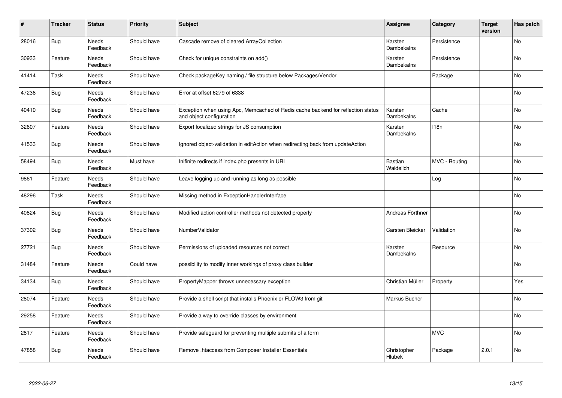| $\sharp$ | <b>Tracker</b> | <b>Status</b>            | Priority    | <b>Subject</b>                                                                                               | <b>Assignee</b>       | Category      | <b>Target</b><br>version | Has patch |
|----------|----------------|--------------------------|-------------|--------------------------------------------------------------------------------------------------------------|-----------------------|---------------|--------------------------|-----------|
| 28016    | Bug            | Needs<br>Feedback        | Should have | Cascade remove of cleared ArrayCollection                                                                    | Karsten<br>Dambekalns | Persistence   |                          | <b>No</b> |
| 30933    | Feature        | Needs<br>Feedback        | Should have | Check for unique constraints on add()                                                                        | Karsten<br>Dambekalns | Persistence   |                          | No        |
| 41414    | Task           | Needs<br>Feedback        | Should have | Check packageKey naming / file structure below Packages/Vendor                                               |                       | Package       |                          | <b>No</b> |
| 47236    | Bug            | Needs<br>Feedback        | Should have | Error at offset 6279 of 6338                                                                                 |                       |               |                          | No        |
| 40410    | <b>Bug</b>     | <b>Needs</b><br>Feedback | Should have | Exception when using Apc, Memcached of Redis cache backend for reflection status<br>and object configuration | Karsten<br>Dambekalns | Cache         |                          | <b>No</b> |
| 32607    | Feature        | Needs<br>Feedback        | Should have | Export localized strings for JS consumption                                                                  | Karsten<br>Dambekalns | 118n          |                          | <b>No</b> |
| 41533    | <b>Bug</b>     | Needs<br>Feedback        | Should have | Ignored object-validation in editAction when redirecting back from updateAction                              |                       |               |                          | No        |
| 58494    | Bug            | Needs<br>Feedback        | Must have   | Inifinite redirects if index.php presents in URI                                                             | Bastian<br>Waidelich  | MVC - Routing |                          | <b>No</b> |
| 9861     | Feature        | Needs<br>Feedback        | Should have | Leave logging up and running as long as possible                                                             |                       | Log           |                          | <b>No</b> |
| 48296    | Task           | <b>Needs</b><br>Feedback | Should have | Missing method in ExceptionHandlerInterface                                                                  |                       |               |                          | <b>No</b> |
| 40824    | Bug            | Needs<br>Feedback        | Should have | Modified action controller methods not detected properly                                                     | Andreas Förthner      |               |                          | No        |
| 37302    | Bug            | Needs<br>Feedback        | Should have | NumberValidator                                                                                              | Carsten Bleicker      | Validation    |                          | <b>No</b> |
| 27721    | Bug            | <b>Needs</b><br>Feedback | Should have | Permissions of uploaded resources not correct                                                                | Karsten<br>Dambekalns | Resource      |                          | <b>No</b> |
| 31484    | Feature        | Needs<br>Feedback        | Could have  | possibility to modify inner workings of proxy class builder                                                  |                       |               |                          | No        |
| 34134    | Bug            | Needs<br>Feedback        | Should have | PropertyMapper throws unnecessary exception                                                                  | Christian Müller      | Property      |                          | Yes       |
| 28074    | Feature        | Needs<br>Feedback        | Should have | Provide a shell script that installs Phoenix or FLOW3 from git                                               | Markus Bucher         |               |                          | No        |
| 29258    | Feature        | <b>Needs</b><br>Feedback | Should have | Provide a way to override classes by environment                                                             |                       |               |                          | <b>No</b> |
| 2817     | Feature        | Needs<br>Feedback        | Should have | Provide safeguard for preventing multiple submits of a form                                                  |                       | <b>MVC</b>    |                          | No        |
| 47858    | Bug            | Needs<br>Feedback        | Should have | Remove .htaccess from Composer Installer Essentials                                                          | Christopher<br>Hlubek | Package       | 2.0.1                    | No        |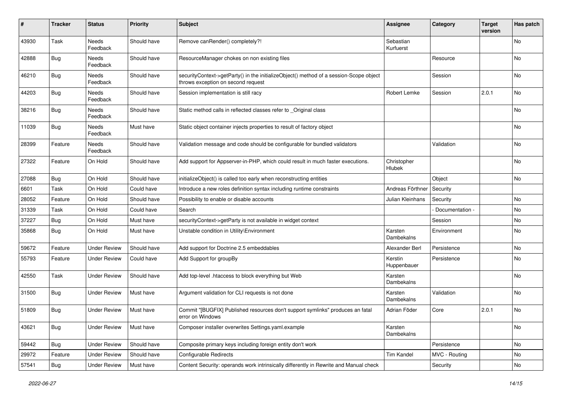| #     | <b>Tracker</b> | <b>Status</b>       | <b>Priority</b> | <b>Subject</b>                                                                                                               | Assignee               | Category        | <b>Target</b><br>version | Has patch |
|-------|----------------|---------------------|-----------------|------------------------------------------------------------------------------------------------------------------------------|------------------------|-----------------|--------------------------|-----------|
| 43930 | Task           | Needs<br>Feedback   | Should have     | Remove canRender() completely?!                                                                                              | Sebastian<br>Kurfuerst |                 |                          | No        |
| 42888 | Bug            | Needs<br>Feedback   | Should have     | ResourceManager chokes on non existing files                                                                                 |                        | Resource        |                          | No        |
| 46210 | Bug            | Needs<br>Feedback   | Should have     | securityContext->getParty() in the initializeObject() method of a session-Scope object<br>throws exception on second request |                        | Session         |                          | No        |
| 44203 | Bug            | Needs<br>Feedback   | Should have     | Session implementation is still racy                                                                                         | Robert Lemke           | Session         | 2.0.1                    | <b>No</b> |
| 38216 | <b>Bug</b>     | Needs<br>Feedback   | Should have     | Static method calls in reflected classes refer to _Original class                                                            |                        |                 |                          | No        |
| 11039 | Bug            | Needs<br>Feedback   | Must have       | Static object container injects properties to result of factory object                                                       |                        |                 |                          | <b>No</b> |
| 28399 | Feature        | Needs<br>Feedback   | Should have     | Validation message and code should be configurable for bundled validators                                                    |                        | Validation      |                          | No        |
| 27322 | Feature        | On Hold             | Should have     | Add support for Appserver-in-PHP, which could result in much faster executions.                                              | Christopher<br>Hlubek  |                 |                          | No        |
| 27088 | Bug            | On Hold             | Should have     | initializeObject() is called too early when reconstructing entities                                                          |                        | Object          |                          | No        |
| 6601  | Task           | On Hold             | Could have      | Introduce a new roles definition syntax including runtime constraints                                                        | Andreas Förthner       | Security        |                          |           |
| 28052 | Feature        | On Hold             | Should have     | Possibility to enable or disable accounts                                                                                    | Julian Kleinhans       | Security        |                          | No        |
| 31339 | Task           | On Hold             | Could have      | Search                                                                                                                       |                        | Documentation - |                          | <b>No</b> |
| 37227 | Bug            | On Hold             | Must have       | securityContext->getParty is not available in widget context                                                                 |                        | Session         |                          | No        |
| 35868 | Bug            | On Hold             | Must have       | Unstable condition in Utility\Environment                                                                                    | Karsten<br>Dambekalns  | Environment     |                          | No        |
| 59672 | Feature        | <b>Under Review</b> | Should have     | Add support for Doctrine 2.5 embeddables                                                                                     | Alexander Berl         | Persistence     |                          | No        |
| 55793 | Feature        | Under Review        | Could have      | Add Support for groupBy                                                                                                      | Kerstin<br>Huppenbauer | Persistence     |                          | No        |
| 42550 | Task           | <b>Under Review</b> | Should have     | Add top-level .htaccess to block everything but Web                                                                          | Karsten<br>Dambekalns  |                 |                          | No        |
| 31500 | <b>Bug</b>     | <b>Under Review</b> | Must have       | Argument validation for CLI requests is not done                                                                             | Karsten<br>Dambekalns  | Validation      |                          | No        |
| 51809 | <b>Bug</b>     | <b>Under Review</b> | Must have       | Commit "[BUGFIX] Published resources don't support symlinks" produces an fatal<br>error on Windows                           | Adrian Föder           | Core            | 2.0.1                    | No        |
| 43621 | Bug            | <b>Under Review</b> | Must have       | Composer installer overwrites Settings.yaml.example                                                                          | Karsten<br>Dambekalns  |                 |                          | No        |
| 59442 | Bug            | <b>Under Review</b> | Should have     | Composite primary keys including foreign entity don't work                                                                   |                        | Persistence     |                          | No        |
| 29972 | Feature        | <b>Under Review</b> | Should have     | <b>Configurable Redirects</b>                                                                                                | Tim Kandel             | MVC - Routing   |                          | No        |
| 57541 | <b>Bug</b>     | <b>Under Review</b> | Must have       | Content Security: operands work intrinsically differently in Rewrite and Manual check                                        |                        | Security        |                          | No        |